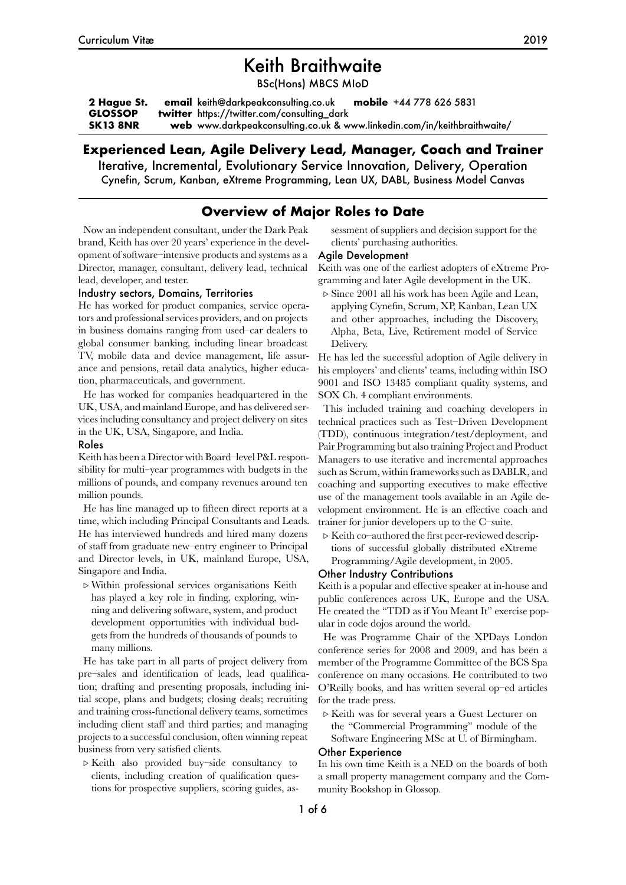# Keith Braithwaite

BSc(Hons) MBCS MIoD

**2 Hague St. GLOSSOP SK13 8NR email** keith@darkpeakconsulting.co.uk **mobile** +44 778 626 5831 **twitter** https://twitter.com/consulting\_dark **web** www.darkpeakconsulting.co.uk & www.linkedin.com/in/keithbraithwaite/

# **Experienced Lean, Agile Delivery Lead, Manager, Coach and Trainer**

Iterative, Incremental, Evolutionary Service Innovation, Delivery, Operation Cynefin, Scrum, Kanban, eXtreme Programming, Lean UX, DABL, Business Model Canvas

# **Overview of Major Roles to Date**

Now an independent consultant, under the Dark Peak brand, Keith has over 20 years' experience in the development of software–intensive products and systems as a Director, manager, consultant, delivery lead, technical lead, developer, and tester.

sessment of suppliers and decision support for the clients' purchasing authorities.

#### Agile Development

Keith was one of the earliest adopters of eXtreme Programming and later Agile development in the UK.

### Industry sectors, Domains, Territories

He has worked for product companies, service operators and professional services providers, and on projects in business domains ranging from used–car dealers to global consumer banking, including linear broadcast TV, mobile data and device management, life assurance and pensions, retail data analytics, higher education, pharmaceuticals, and government.

He has worked for companies headquartered in the UK, USA, and mainland Europe, and has delivered services including consultancy and project delivery on sites in the UK, USA, Singapore, and India.

#### Roles

Keith has been a Director with Board–level P&L responsibility for multi–year programmes with budgets in the millions of pounds, and company revenues around ten million pounds.

He has line managed up to fifteen direct reports at a time, which including Principal Consultants and Leads. He has interviewed hundreds and hired many dozens of staff from graduate new–entry engineer to Principal and Director levels, in UK, mainland Europe, USA, Singapore and India.

*▷* Within professional services organisations Keith has played a key role in finding, exploring, winning and delivering software, system, and product development opportunities with individual budgets from the hundreds of thousands of pounds to many millions.

He has take part in all parts of project delivery from pre–sales and identification of leads, lead qualification; drafting and presenting proposals, including initial scope, plans and budgets; closing deals; recruiting and training cross-functional delivery teams, sometimes including client staff and third parties; and managing projects to a successful conclusion, often winning repeat business from very satisfied clients.

*▷* Keith also provided buy–side consultancy to clients, including creation of qualification questions for prospective suppliers, scoring guides, as*▷* Since 2001 all his work has been Agile and Lean, applying Cynefin, Scrum, XP, Kanban, Lean UX and other approaches, including the Discovery, Alpha, Beta, Live, Retirement model of Service Delivery.

He has led the successful adoption of Agile delivery in his employers' and clients' teams, including within ISO 9001 and ISO 13485 compliant quality systems, and SOX Ch. 4 compliant environments.

This included training and coaching developers in technical practices such as Test–Driven Development (TDD), continuous integration/test/deployment, and Pair Programming but also training Project and Product Managers to use iterative and incremental approaches such as Scrum, within frameworks such as DABLR, and coaching and supporting executives to make effective use of the management tools available in an Agile development environment. He is an effective coach and trainer for junior developers up to the C–suite.

*▷* Keith co–authored the first peer-reviewed descriptions of successful globally distributed eXtreme Programming/Agile development, in 2005.

### Other Industry Contributions

Keith is a popular and effective speaker at in-house and public conferences across UK, Europe and the USA. He created the "TDD as if You Meant It" exercise popular in code dojos around the world.

He was Programme Chair of the XPDays London conference series for 2008 and 2009, and has been a member of the Programme Committee of the BCS Spa conference on many occasions. He contributed to two O'Reilly books, and has written several op–ed articles for the trade press.

*▷* Keith was for several years a Guest Lecturer on the "Commercial Programming" module of the Software Engineering MSc at U. of Birmingham.

# Other Experience

In his own time Keith is a NED on the boards of both a small property management company and the Community Bookshop in Glossop.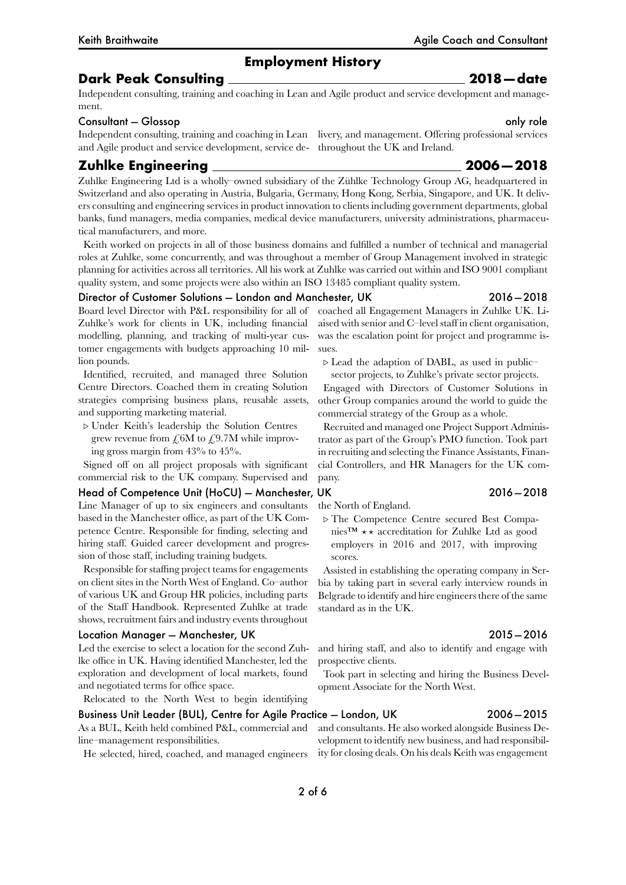### **Dark Peak Consulting 2018 — date**

Independent consulting, training and coaching in Lean and Agile product and service development and management.

### Consultant — Glossop only role

Independent consulting, training and coaching in Lean livery, and management. Offering professional services and Agile product and service development, service de-throughout the UK and Ireland.

# **Zuhlke Engineering 2006 — 2018**

Zuhlke Engineering Ltd is a wholly–owned subsidiary of the Zühlke Technology Group AG, headquartered in Switzerland and also operating in Austria, Bulgaria, Germany, Hong Kong, Serbia, Singapore, and UK. It delivers consulting and engineering services in product innovation to clients including government departments, global banks, fund managers, media companies, medical device manufacturers, university administrations, pharmaceutical manufacturers, and more.

Keith worked on projects in all of those business domains and fulfilled a number of technical and managerial roles at Zuhlke, some concurrently, and was throughout a member of Group Management involved in strategic planning for activities across all territories. All his work at Zuhlke was carried out within and ISO 9001 compliant quality system, and some projects were also within an ISO 13485 compliant quality system.

#### Director of Customer Solutions — London and Manchester, UK 2016 — 2018

Board level Director with P&L responsibility for all of Zuhlke's work for clients in UK, including financial modelling, planning, and tracking of multi-year customer engagements with budgets approaching 10 million pounds.

Identified, recruited, and managed three Solution Centre Directors. Coached them in creating Solution strategies comprising business plans, reusable assets, and supporting marketing material.

*▷* Under Keith's leadership the Solution Centres grew revenue from  $\mathcal{L}6M$  to  $\mathcal{L}9.7M$  while improving gross margin from 43% to 45%.

Signed off on all project proposals with significant commercial risk to the UK company. Supervised and

Head of Competence Unit (HoCU) - Manchester, UK 2016 - 2018 Line Manager of up to six engineers and consultants based in the Manchester office, as part of the UK Competence Centre. Responsible for finding, selecting and hiring staff. Guided career development and progression of those staff, including training budgets.

Responsible for staffing project teams for engagements on client sites in the North West of England. Co–author of various UK and Group HR policies, including parts of the Staff Handbook. Represented Zuhlke at trade shows, recruitment fairs and industry events throughout

#### Location Manager — Manchester, UK 2015 — 2016

Led the exercise to select a location for the second Zuhlke office in UK. Having identified Manchester, led the exploration and development of local markets, found and negotiated terms for office space.

Relocated to the North West to begin identifying

Business Unit Leader (BUL), Centre for Agile Practice — London, UK 2006 — 2015 As a BUL, Keith held combined P&L, commercial and line–management responsibilities.

He selected, hired, coached, and managed engineers

coached all Engagement Managers in Zuhlke UK. Liaised with senior and C–level staff in client organisation, was the escalation point for project and programme issues.

*▷* Lead the adaption of DABL, as used in public– sector projects, to Zuhlke's private sector projects.

Engaged with Directors of Customer Solutions in other Group companies around the world to guide the commercial strategy of the Group as a whole.

Recruited and managed one Project Support Administrator as part of the Group's PMO function. Took part in recruiting and selecting the Finance Assistants, Financial Controllers, and HR Managers for the UK company.

### the North of England.

*▷* The Competence Centre secured Best Companies™ *⋆ ⋆* accreditation for Zuhlke Ltd as good employers in 2016 and 2017, with improving scores.

Assisted in establishing the operating company in Serbia by taking part in several early interview rounds in Belgrade to identify and hire engineers there of the same standard as in the UK.

and hiring staff, and also to identify and engage with prospective clients.

Took part in selecting and hiring the Business Development Associate for the North West.

and consultants. He also worked alongside Business Development to identify new business, and had responsibility for closing deals. On his deals Keith was engagement

### Keith Braithwaite Agile Coach and Consultant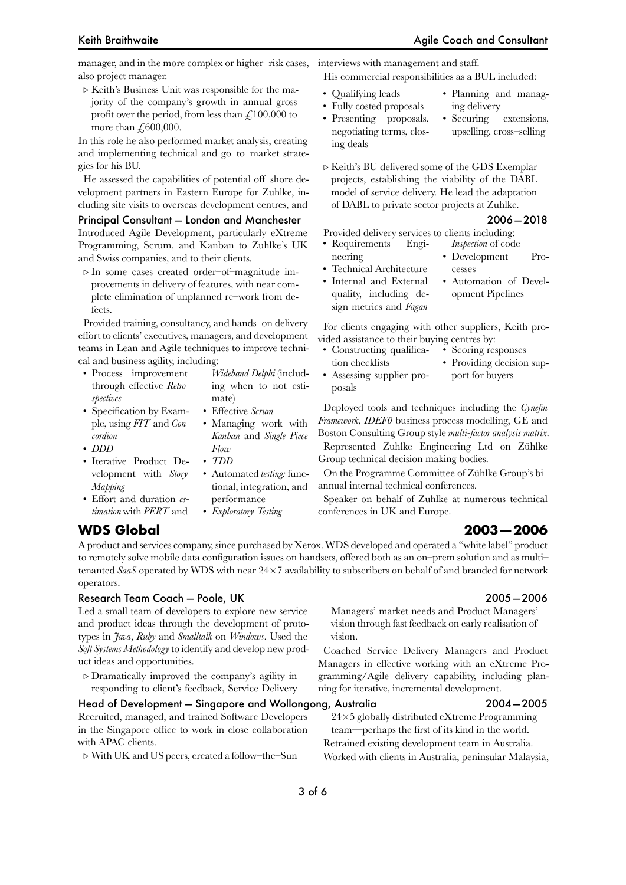manager, and in the more complex or higher–risk cases, interviews with management and staff. also project manager.

*▷* Keith's Business Unit was responsible for the majority of the company's growth in annual gross profit over the period, from less than  $\mathcal{L}$  100,000 to more than  $£600,000$ .

In this role he also performed market analysis, creating and implementing technical and go–to–market strategies for his BU.

He assessed the capabilities of potential off–shore development partners in Eastern Europe for Zuhlke, including site visits to overseas development centres, and

#### Principal Consultant — London and Manchester 2006 — 2018

Introduced Agile Development, particularly eXtreme Programming, Scrum, and Kanban to Zuhlke's UK and Swiss companies, and to their clients.

*▷* In some cases created order–of–magnitude improvements in delivery of features, with near complete elimination of unplanned re–work from defects.

Provided training, consultancy, and hands–on delivery effort to clients' executives, managers, and development teams in Lean and Agile techniques to improve technical and business agility, including:

> mate) • Effective *Scrum*

*Flow* • *TDD*

*Wideband Delphi* (including when to not esti-

• Managing work with *Kanban* and *Single Piece*

• Automated *testing:* functional, integration, and

- Process improvement through effective *Retrospectives*
- Specification by Example, using *FIT* and *Concordion*
- *DDD*
- Iterative Product Development with *Story Mapping*
- Effort and duration *estimation* with *PERT* and performance • *Exploratory Testing*

His commercial responsibilities as a BUL included:

- Qualifying leads
- Fully costed proposals
- Planning and managing delivery
- Presenting proposals, negotiating terms, closing deals
- Securing extensions, upselling, cross–selling
- *▷* Keith's BU delivered some of the GDS Exemplar projects, establishing the viability of the DABL model of service delivery. He lead the adaptation of DABL to private sector projects at Zuhlke.

Provided delivery services to clients including:

- Requirements Engi-*Inspection* of code
	- Development Processes
- Internal and External quality, including design metrics and *Fagan*

• Technical Architecture

neering

• Automation of Development Pipelines

For clients engaging with other suppliers, Keith provided assistance to their buying centres by:

- Constructing qualification checklists • Scoring responses • Providing decision sup-
- Assessing supplier proposals port for buyers

Deployed tools and techniques including the *Cynefin Framework*, *IDEF0* business process modelling, GE and Boston Consulting Group style *multi-factor analysis matrix*.

Represented Zuhlke Engineering Ltd on Zühlke Group technical decision making bodies.

On the Programme Committee of Zühlke Group's bi– annual internal technical conferences.

Speaker on behalf of Zuhlke at numerous technical conferences in UK and Europe.

### **WDS Global 2003 — 2006**

A product and services company, since purchased by Xerox. WDS developed and operated a "white label" product to remotely solve mobile data configuration issues on handsets, offered both as an on–prem solution and as multi– tenanted *SaaS* operated by WDS with near 24*×*7 availability to subscribers on behalf of and branded for network operators.

### Research Team Coach — Poole, UK 2005 — 2006

Led a small team of developers to explore new service and product ideas through the development of prototypes in *Java*, *Ruby* and *Smalltalk* on *Windows*. Used the *Soft Systems Methodology* to identify and develop new product ideas and opportunities.

*▷* Dramatically improved the company's agility in responding to client's feedback, Service Delivery

### Head of Development — Singapore and Wollongong, Australia 2004 — 2005

Recruited, managed, and trained Software Developers in the Singapore office to work in close collaboration with APAC clients.

*▷* With UK and US peers, created a follow–the–Sun

vision. Coached Service Delivery Managers and Product Managers in effective working with an eXtreme Pro-

Managers' market needs and Product Managers' vision through fast feedback on early realisation of

gramming/Agile delivery capability, including planning for iterative, incremental development.

24*×*5 globally distributed eXtreme Programming team—perhaps the first of its kind in the world. Retrained existing development team in Australia. Worked with clients in Australia, peninsular Malaysia,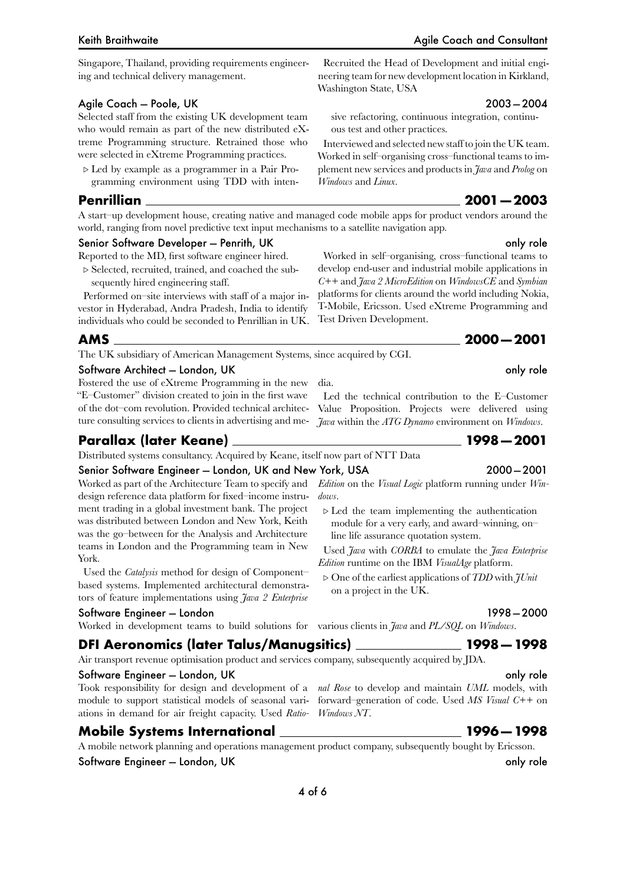Singapore, Thailand, providing requirements engineering and technical delivery management.

### Agile Coach — Poole, UK 2003 — 2004

Selected staff from the existing UK development team who would remain as part of the new distributed eXtreme Programming structure. Retrained those who were selected in eXtreme Programming practices.

*▷* Led by example as a programmer in a Pair Programming environment using TDD with inten-

### **Penrillian 2001 — 2003**

A start–up development house, creating native and managed code mobile apps for product vendors around the world, ranging from novel predictive text input mechanisms to a satellite navigation app.

dia.

Washington State, USA

*Windows* and *Linux*.

Test Driven Development.

ous test and other practices.

sive refactoring, continuous integration, continu-

Interviewed and selected new staff to join the UK team. Worked in self–organising cross–functional teams to implement new services and products in *Java* and *Prolog* on

Worked in self–organising, cross–functional teams to develop end-user and industrial mobile applications in *C++* and *Java 2 MicroEdition* on *WindowsCE* and *Symbian* platforms for clients around the world including Nokia, T-Mobile, Ericsson. Used eXtreme Programming and

### Senior Software Developer — Penrith, UK only role only role only role only role

Reported to the MD, first software engineer hired.

*▷* Selected, recruited, trained, and coached the subsequently hired engineering staff.

Performed on–site interviews with staff of a major investor in Hyderabad, Andra Pradesh, India to identify individuals who could be seconded to Penrillian in UK.

The UK subsidiary of American Management Systems, since acquired by CGI.

### Software Architect — London, UK only role and the state of the state of the state of the state of the state of the state of the state of the state of the state of the state of the state of the state of the state of the sta

Fostered the use of eXtreme Programming in the new "E–Customer" division created to join in the first wave of the dot–com revolution. Provided technical architecture consulting services to clients in advertising and me-*Java* within the *ATG Dynamo* environment on *Windows*.

### **Parallax (later Keane) 1998 — 2001**

Distributed systems consultancy. Acquired by Keane, itself now part of NTT Data

#### Senior Software Engineer — London, UK and New York, USA 2000 — 2001

Worked as part of the Architecture Team to specify and design reference data platform for fixed–income instrument trading in a global investment bank. The project was distributed between London and New York, Keith was the go–between for the Analysis and Architecture teams in London and the Programming team in New York.

Used the *Catalysis* method for design of Component– based systems. Implemented architectural demonstrators of feature implementations using *Java 2 Enterprise*

#### Software Engineer — London 1998 — 2000

Worked in development teams to build solutions for various clients in *Java* and *PL/SQL* on *Windows*.

### **DFI Aeronomics (later Talus/Manugsitics) 1998 — 1998**

Air transport revenue optimisation product and services company, subsequently acquired by JDA.

#### Software Engineer — London, UK only role and the state of the state of the state of the state of the state of the state of the state of the state of the state of the state of the state of the state of the state of the stat

Took responsibility for design and development of a *nal Rose* to develop and maintain *UML* models, with module to support statistical models of seasonal variations in demand for air freight capacity. Used *Ratio-Windows NT*.

### **Mobile Systems International 1996 — 1998**

A mobile network planning and operations management product company, subsequently bought by Ericsson.

Software Engineer – London, UK only role to the state of the state only role only role only role

*Edition* on the *Visual Logic* platform running under *Windows*.

Led the technical contribution to the E–Customer Value Proposition. Projects were delivered using

*▷* Led the team implementing the authentication module for a very early, and award–winning, on– line life assurance quotation system.

Used *Java* with *CORBA* to emulate the *Java Enterprise Edition* runtime on the IBM *VisualAge* platform.

*▷* One of the earliest applications of *TDD* with *JUnit* on a project in the UK.

forward–generation of code. Used *MS Visual C++* on

# **AMS 2000 — 2001**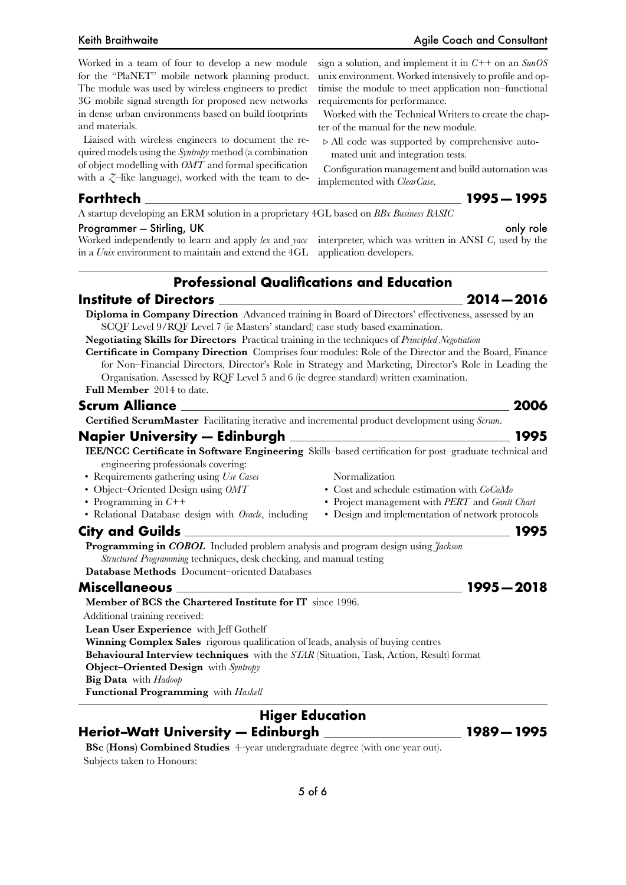Worked in a team of four to develop a new module for the "PlaNET" mobile network planning product. The module was used by wireless engineers to predict 3G mobile signal strength for proposed new networks in dense urban environments based on build footprints and materials.

Liaised with wireless engineers to document the required models using the *Syntropy* method (a combination of object modelling with *OMT* and formal specification with a  $\zeta$ –like language), worked with the team to de-

sign a solution, and implement it in *C++* on an *SunOS* unix environment. Worked intensively to profile and optimise the module to meet application non–functional requirements for performance.

Worked with the Technical Writers to create the chapter of the manual for the new module.

*▷* All code was supported by comprehensive automated unit and integration tests.

Configuration management and build automation was implemented with *ClearCase*.

**Forthtech 1995 — 1995**

A startup developing an ERM solution in a proprietary 4GL based on *BBx Business BASIC*

### Programmer — Stirling, UK only role and the state of the state of the state of the state of the state of the s

Worked independently to learn and apply *lex* and *yacc* interpreter, which was written in ANSI *C*, used by the in a *Unix* environment to maintain and extend the 4GL application developers.

# **Professional Qualifications and Education**

**Institute of Directors 2014 — 2016**

**Diploma in Company Direction** Advanced training in Board of Directors' effectiveness, assessed by an SCQF Level 9/RQF Level 7 (ie Masters' standard) case study based examination.

**Negotiating Skills for Directors** Practical training in the techniques of *Principled Negotiation*

**Certificate in Company Direction** Comprises four modules: Role of the Director and the Board, Finance for Non–Financial Directors, Director's Role in Strategy and Marketing, Director's Role in Leading the Organisation. Assessed by RQF Level 5 and 6 (ie degree standard) written examination. **Full Member** 2014 to date.

### **Scrum Alliance 2006**

**Certified ScrumMaster** Facilitating iterative and incremental product development using *Scrum*.

## **Napier University — Edinburgh 1995**

**IEE/NCC Certificate in Software Engineering** Skills–based certification for post–graduate technical and engineering professionals covering:

Normalization

• Cost and schedule estimation with *CoCoMo* • Project management with *PERT* and *Gantt Chart* • Design and implementation of network protocols

- Requirements gathering using *Use Cases*
- Object–Oriented Design using *OMT*
- Programming in *C++*
- Relational Database design with *Oracle*, including

# **City and Guilds 1995**

**Programming in** *COBOL* Included problem analysis and program design using *Jackson Structured Programming* techniques, desk checking, and manual testing

**Database Methods** Document–oriented Databases

## **Miscellaneous 1995 — 2018**

### **Member of BCS the Chartered Institute for IT** since 1996.

Additional training received:

**Lean User Experience** with Jeff Gothelf

**Winning Complex Sales** rigorous qualification of leads, analysis of buying centres

**Behavioural Interview techniques** with the *STAR* (Situation, Task, Action, Result) format **Object–Oriented Design** with *Syntropy*

**Big Data** with *Hadoop*

**Functional Programming** with *Haskell*

# **Higer Education**

**Heriot–Watt University — Edinburgh 1989 — 1995**

**BSc (Hons) Combined Studies** 4–year undergraduate degree (with one year out). Subjects taken to Honours: